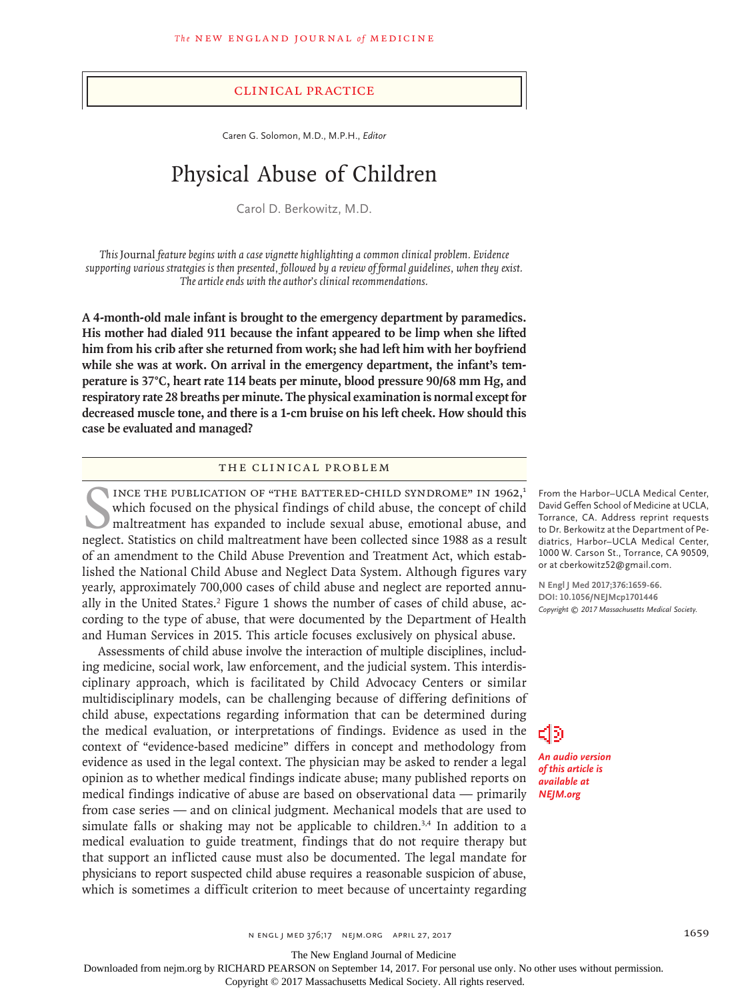#### Clinical Practice

Caren G. Solomon, M.D., M.P.H., *Editor*

# Physical Abuse of Children

Carol D. Berkowitz, M.D.

*This* Journal *feature begins with a case vignette highlighting a common clinical problem. Evidence supporting various strategies is then presented, followed by a review of formal guidelines, when they exist. The article ends with the author's clinical recommendations.*

**A 4-month-old male infant is brought to the emergency department by paramedics. His mother had dialed 911 because the infant appeared to be limp when she lifted him from his crib after she returned from work; she had left him with her boyfriend while she was at work. On arrival in the emergency department, the infant's temperature is 37°C, heart rate 114 beats per minute, blood pressure 90/68 mm Hg, and respiratory rate 28 breaths per minute. The physical examination is normal except for decreased muscle tone, and there is a 1-cm bruise on his left cheek. How should this case be evaluated and managed?**

#### The Clinical Problem

INCE THE PUBLICATION OF "THE BATTERED-CHILD SYNDROME" IN 1962,<sup>1</sup><br>which focused on the physical findings of child abuse, the concept of child<br>maltreatment has expanded to include sexual abuse, emotional abuse, and<br>neglect. INCE THE PUBLICATION OF "THE BATTERED-CHILD SYNDROME" IN 1962,<sup>1</sup> which focused on the physical findings of child abuse, the concept of child maltreatment has expanded to include sexual abuse, emotional abuse, and of an amendment to the Child Abuse Prevention and Treatment Act, which established the National Child Abuse and Neglect Data System. Although figures vary yearly, approximately 700,000 cases of child abuse and neglect are reported annually in the United States.<sup>2</sup> Figure 1 shows the number of cases of child abuse, according to the type of abuse, that were documented by the Department of Health and Human Services in 2015. This article focuses exclusively on physical abuse.

Assessments of child abuse involve the interaction of multiple disciplines, including medicine, social work, law enforcement, and the judicial system. This interdisciplinary approach, which is facilitated by Child Advocacy Centers or similar multidisciplinary models, can be challenging because of differing definitions of child abuse, expectations regarding information that can be determined during the medical evaluation, or interpretations of findings. Evidence as used in the context of "evidence-based medicine" differs in concept and methodology from evidence as used in the legal context. The physician may be asked to render a legal opinion as to whether medical findings indicate abuse; many published reports on medical findings indicative of abuse are based on observational data — primarily from case series — and on clinical judgment. Mechanical models that are used to simulate falls or shaking may not be applicable to children.<sup>3,4</sup> In addition to a medical evaluation to guide treatment, findings that do not require therapy but that support an inflicted cause must also be documented. The legal mandate for physicians to report suspected child abuse requires a reasonable suspicion of abuse, which is sometimes a difficult criterion to meet because of uncertainty regarding

From the Harbor–UCLA Medical Center, David Geffen School of Medicine at UCLA, Torrance, CA. Address reprint requests to Dr. Berkowitz at the Department of Pediatrics, Harbor–UCLA Medical Center, 1000 W. Carson St., Torrance, CA 90509, or at cberkowitz52@gmail.com.

**N Engl J Med 2017;376:1659-66. DOI: 10.1056/NEJMcp1701446** *Copyright © 2017 Massachusetts Medical Society.*

๔๒ *An audio version of this article is available at NEJM.org*

n engl j med 376;17 nejm.org April 27, 2017 1659

The New England Journal of Medicine

Downloaded from nejm.org by RICHARD PEARSON on September 14, 2017. For personal use only. No other uses without permission.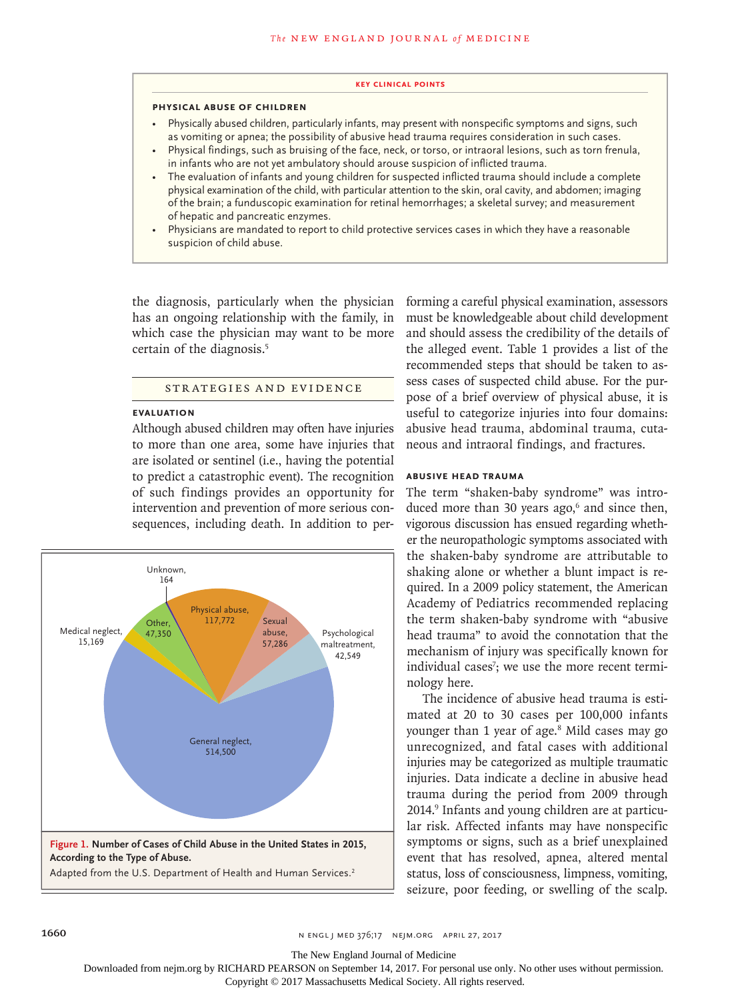#### **Key Clinical Points**

#### **Physical Abuse of Children**

- Physically abused children, particularly infants, may present with nonspecific symptoms and signs, such as vomiting or apnea; the possibility of abusive head trauma requires consideration in such cases.
- Physical findings, such as bruising of the face, neck, or torso, or intraoral lesions, such as torn frenula, in infants who are not yet ambulatory should arouse suspicion of inflicted trauma.
- The evaluation of infants and young children for suspected inflicted trauma should include a complete physical examination of the child, with particular attention to the skin, oral cavity, and abdomen; imaging of the brain; a funduscopic examination for retinal hemorrhages; a skeletal survey; and measurement of hepatic and pancreatic enzymes.
- Physicians are mandated to report to child protective services cases in which they have a reasonable suspicion of child abuse.

the diagnosis, particularly when the physician has an ongoing relationship with the family, in which case the physician may want to be more certain of the diagnosis.<sup>5</sup>

## STRATEGIES AND EVIDENCE

## **Evaluation**

Although abused children may often have injuries to more than one area, some have injuries that are isolated or sentinel (i.e., having the potential to predict a catastrophic event). The recognition of such findings provides an opportunity for intervention and prevention of more serious consequences, including death. In addition to per-



forming a careful physical examination, assessors must be knowledgeable about child development and should assess the credibility of the details of the alleged event. Table 1 provides a list of the recommended steps that should be taken to assess cases of suspected child abuse. For the purpose of a brief overview of physical abuse, it is useful to categorize injuries into four domains: abusive head trauma, abdominal trauma, cutaneous and intraoral findings, and fractures.

#### **Abusive Head Trauma**

The term "shaken-baby syndrome" was introduced more than 30 years ago, $6$  and since then, vigorous discussion has ensued regarding whether the neuropathologic symptoms associated with the shaken-baby syndrome are attributable to shaking alone or whether a blunt impact is required. In a 2009 policy statement, the American Academy of Pediatrics recommended replacing the term shaken-baby syndrome with "abusive head trauma" to avoid the connotation that the mechanism of injury was specifically known for individual cases<sup>7</sup>; we use the more recent terminology here.

The incidence of abusive head trauma is estimated at 20 to 30 cases per 100,000 infants younger than 1 year of age.8 Mild cases may go unrecognized, and fatal cases with additional injuries may be categorized as multiple traumatic injuries. Data indicate a decline in abusive head trauma during the period from 2009 through 2014.<sup>9</sup> Infants and young children are at particular risk. Affected infants may have nonspecific symptoms or signs, such as a brief unexplained event that has resolved, apnea, altered mental status, loss of consciousness, limpness, vomiting, seizure, poor feeding, or swelling of the scalp.

The New England Journal of Medicine

Downloaded from nejm.org by RICHARD PEARSON on September 14, 2017. For personal use only. No other uses without permission.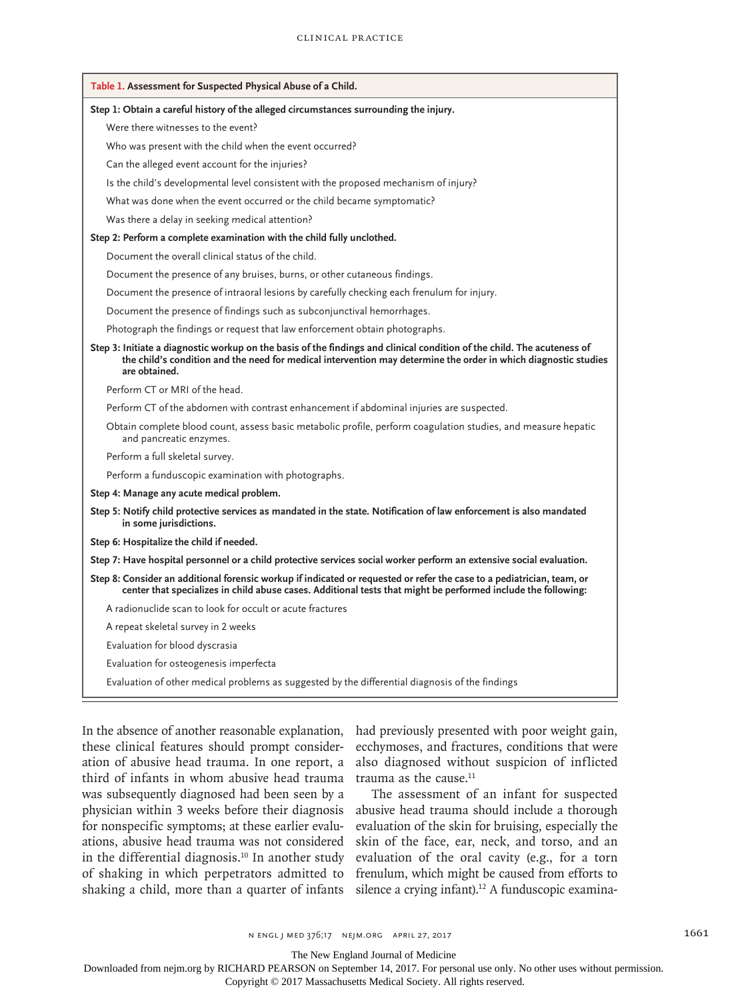| Table 1. Assessment for Suspected Physical Abuse of a Child.                                                                                                                                                                                                |
|-------------------------------------------------------------------------------------------------------------------------------------------------------------------------------------------------------------------------------------------------------------|
| Step 1: Obtain a careful history of the alleged circumstances surrounding the injury.                                                                                                                                                                       |
| Were there witnesses to the event?                                                                                                                                                                                                                          |
| Who was present with the child when the event occurred?                                                                                                                                                                                                     |
| Can the alleged event account for the injuries?                                                                                                                                                                                                             |
| Is the child's developmental level consistent with the proposed mechanism of injury?                                                                                                                                                                        |
| What was done when the event occurred or the child became symptomatic?                                                                                                                                                                                      |
| Was there a delay in seeking medical attention?                                                                                                                                                                                                             |
| Step 2: Perform a complete examination with the child fully unclothed.                                                                                                                                                                                      |
| Document the overall clinical status of the child.                                                                                                                                                                                                          |
| Document the presence of any bruises, burns, or other cutaneous findings.                                                                                                                                                                                   |
| Document the presence of intraoral lesions by carefully checking each frenulum for injury.                                                                                                                                                                  |
| Document the presence of findings such as subconjunctival hemorrhages.                                                                                                                                                                                      |
| Photograph the findings or request that law enforcement obtain photographs.                                                                                                                                                                                 |
| Step 3: Initiate a diagnostic workup on the basis of the findings and clinical condition of the child. The acuteness of<br>the child's condition and the need for medical intervention may determine the order in which diagnostic studies<br>are obtained. |
| Perform CT or MRI of the head.                                                                                                                                                                                                                              |
| Perform CT of the abdomen with contrast enhancement if abdominal injuries are suspected.                                                                                                                                                                    |
| Obtain complete blood count, assess basic metabolic profile, perform coagulation studies, and measure hepatic<br>and pancreatic enzymes.                                                                                                                    |
| Perform a full skeletal survey.                                                                                                                                                                                                                             |
| Perform a funduscopic examination with photographs.                                                                                                                                                                                                         |
| Step 4: Manage any acute medical problem.                                                                                                                                                                                                                   |
| Step 5: Notify child protective services as mandated in the state. Notification of law enforcement is also mandated<br>in some jurisdictions.                                                                                                               |
| Step 6: Hospitalize the child if needed.                                                                                                                                                                                                                    |
| Step 7: Have hospital personnel or a child protective services social worker perform an extensive social evaluation.                                                                                                                                        |
| Step 8: Consider an additional forensic workup if indicated or requested or refer the case to a pediatrician, team, or<br>center that specializes in child abuse cases. Additional tests that might be performed include the following:                     |
| A radionuclide scan to look for occult or acute fractures                                                                                                                                                                                                   |
| A repeat skeletal survey in 2 weeks                                                                                                                                                                                                                         |
| Evaluation for blood dyscrasia                                                                                                                                                                                                                              |
| Evaluation for osteogenesis imperfecta                                                                                                                                                                                                                      |
| Evaluation of other medical problems as suggested by the differential diagnosis of the findings                                                                                                                                                             |

In the absence of another reasonable explanation, these clinical features should prompt consideration of abusive head trauma. In one report, a third of infants in whom abusive head trauma was subsequently diagnosed had been seen by a physician within 3 weeks before their diagnosis for nonspecific symptoms; at these earlier evaluations, abusive head trauma was not considered in the differential diagnosis.<sup>10</sup> In another study of shaking in which perpetrators admitted to shaking a child, more than a quarter of infants

had previously presented with poor weight gain, ecchymoses, and fractures, conditions that were also diagnosed without suspicion of inflicted trauma as the cause. $11$ 

The assessment of an infant for suspected abusive head trauma should include a thorough evaluation of the skin for bruising, especially the skin of the face, ear, neck, and torso, and an evaluation of the oral cavity (e.g., for a torn frenulum, which might be caused from efforts to silence a crying infant).<sup>12</sup> A funduscopic examina-

The New England Journal of Medicine

Downloaded from nejm.org by RICHARD PEARSON on September 14, 2017. For personal use only. No other uses without permission.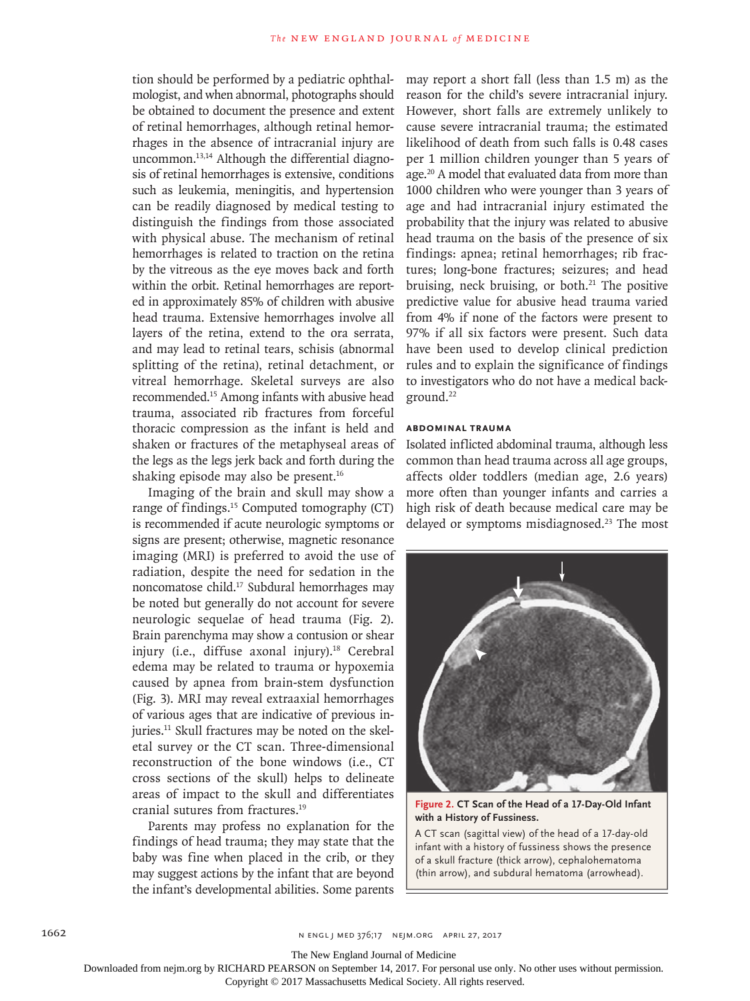tion should be performed by a pediatric ophthalmologist, and when abnormal, photographs should be obtained to document the presence and extent of retinal hemorrhages, although retinal hemorrhages in the absence of intracranial injury are uncommon.13,14 Although the differential diagnosis of retinal hemorrhages is extensive, conditions such as leukemia, meningitis, and hypertension can be readily diagnosed by medical testing to distinguish the findings from those associated with physical abuse. The mechanism of retinal hemorrhages is related to traction on the retina by the vitreous as the eye moves back and forth within the orbit. Retinal hemorrhages are reported in approximately 85% of children with abusive head trauma. Extensive hemorrhages involve all layers of the retina, extend to the ora serrata, and may lead to retinal tears, schisis (abnormal splitting of the retina), retinal detachment, or vitreal hemorrhage. Skeletal surveys are also recommended.15 Among infants with abusive head trauma, associated rib fractures from forceful thoracic compression as the infant is held and shaken or fractures of the metaphyseal areas of the legs as the legs jerk back and forth during the shaking episode may also be present.<sup>16</sup>

Imaging of the brain and skull may show a range of findings.15 Computed tomography (CT) is recommended if acute neurologic symptoms or signs are present; otherwise, magnetic resonance imaging (MRI) is preferred to avoid the use of radiation, despite the need for sedation in the noncomatose child.17 Subdural hemorrhages may be noted but generally do not account for severe neurologic sequelae of head trauma (Fig. 2). Brain parenchyma may show a contusion or shear injury (i.e., diffuse axonal injury). $18$  Cerebral edema may be related to trauma or hypoxemia caused by apnea from brain-stem dysfunction (Fig. 3). MRI may reveal extraaxial hemorrhages of various ages that are indicative of previous injuries.<sup>11</sup> Skull fractures may be noted on the skeletal survey or the CT scan. Three-dimensional reconstruction of the bone windows (i.e., CT cross sections of the skull) helps to delineate areas of impact to the skull and differentiates cranial sutures from fractures.19

Parents may profess no explanation for the findings of head trauma; they may state that the baby was fine when placed in the crib, or they may suggest actions by the infant that are beyond the infant's developmental abilities. Some parents

may report a short fall (less than 1.5 m) as the reason for the child's severe intracranial injury. However, short falls are extremely unlikely to cause severe intracranial trauma; the estimated likelihood of death from such falls is 0.48 cases per 1 million children younger than 5 years of age.20 A model that evaluated data from more than 1000 children who were younger than 3 years of age and had intracranial injury estimated the probability that the injury was related to abusive head trauma on the basis of the presence of six findings: apnea; retinal hemorrhages; rib fractures; long-bone fractures; seizures; and head bruising, neck bruising, or both. $21$  The positive predictive value for abusive head trauma varied from 4% if none of the factors were present to 97% if all six factors were present. Such data have been used to develop clinical prediction rules and to explain the significance of findings to investigators who do not have a medical background.22

### **Abdominal Trauma**

Isolated inflicted abdominal trauma, although less common than head trauma across all age groups, affects older toddlers (median age, 2.6 years) more often than younger infants and carries a high risk of death because medical care may be delayed or symptoms misdiagnosed.<sup>23</sup> The most



**Figure 2. CT Scan of the Head of a 17-Day-Old Infant with a History of Fussiness.**

A CT scan (sagittal view) of the head of a 17-day-old infant with a history of fussiness shows the presence of a skull fracture (thick arrow), cephalohematoma (thin arrow), and subdural hematoma (arrowhead).

1662 **n ENGL j MED 376;17 NEJM.ORG APRIL 27, 2017** 

The New England Journal of Medicine

Downloaded from nejm.org by RICHARD PEARSON on September 14, 2017. For personal use only. No other uses without permission.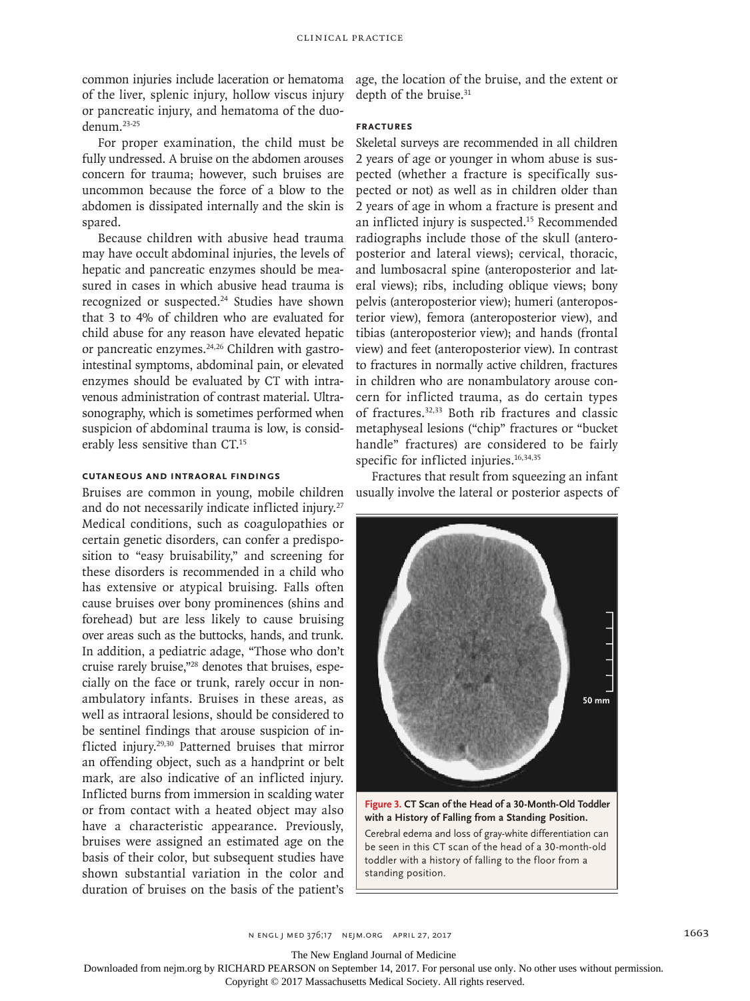common injuries include laceration or hematoma of the liver, splenic injury, hollow viscus injury or pancreatic injury, and hematoma of the duodenum.23-25

For proper examination, the child must be fully undressed. A bruise on the abdomen arouses concern for trauma; however, such bruises are uncommon because the force of a blow to the abdomen is dissipated internally and the skin is spared.

Because children with abusive head trauma may have occult abdominal injuries, the levels of hepatic and pancreatic enzymes should be measured in cases in which abusive head trauma is recognized or suspected.<sup>24</sup> Studies have shown that 3 to 4% of children who are evaluated for child abuse for any reason have elevated hepatic or pancreatic enzymes.<sup>24,26</sup> Children with gastrointestinal symptoms, abdominal pain, or elevated enzymes should be evaluated by CT with intravenous administration of contrast material. Ultrasonography, which is sometimes performed when suspicion of abdominal trauma is low, is considerably less sensitive than CT.15

## **Cutaneous and Intraoral Findings**

Bruises are common in young, mobile children and do not necessarily indicate inflicted injury.<sup>27</sup> Medical conditions, such as coagulopathies or certain genetic disorders, can confer a predisposition to "easy bruisability," and screening for these disorders is recommended in a child who has extensive or atypical bruising. Falls often cause bruises over bony prominences (shins and forehead) but are less likely to cause bruising over areas such as the buttocks, hands, and trunk. In addition, a pediatric adage, "Those who don't cruise rarely bruise,"28 denotes that bruises, especially on the face or trunk, rarely occur in nonambulatory infants. Bruises in these areas, as well as intraoral lesions, should be considered to be sentinel findings that arouse suspicion of inflicted injury.29,30 Patterned bruises that mirror an offending object, such as a handprint or belt mark, are also indicative of an inflicted injury. Inflicted burns from immersion in scalding water or from contact with a heated object may also have a characteristic appearance. Previously, bruises were assigned an estimated age on the basis of their color, but subsequent studies have shown substantial variation in the color and duration of bruises on the basis of the patient's

age, the location of the bruise, and the extent or depth of the bruise.<sup>31</sup>

#### **Fractures**

Skeletal surveys are recommended in all children 2 years of age or younger in whom abuse is suspected (whether a fracture is specifically suspected or not) as well as in children older than 2 years of age in whom a fracture is present and an inflicted injury is suspected.<sup>15</sup> Recommended radiographs include those of the skull (anteroposterior and lateral views); cervical, thoracic, and lumbosacral spine (anteroposterior and lateral views); ribs, including oblique views; bony pelvis (anteroposterior view); humeri (anteroposterior view), femora (anteroposterior view), and tibias (anteroposterior view); and hands (frontal view) and feet (anteroposterior view). In contrast to fractures in normally active children, fractures in children who are nonambulatory arouse concern for inflicted trauma, as do certain types of fractures.32,33 Both rib fractures and classic metaphyseal lesions ("chip" fractures or "bucket handle" fractures) are considered to be fairly specific for inflicted injuries.<sup>16,34,35</sup>

Fractures that result from squeezing an infant usually involve the lateral or posterior aspects of



**Figure 3. CT Scan of the Head of a 30-Month-Old Toddler with a History of Falling from a Standing Position.** Cerebral edema and loss of gray-white differentiation can be seen in this CT scan of the head of a 30-month-old toddler with a history of falling to the floor from a standing position.

n engl j med 376;17 nejm.org April 27, 2017 1663

The New England Journal of Medicine

Downloaded from nejm.org by RICHARD PEARSON on September 14, 2017. For personal use only. No other uses without permission.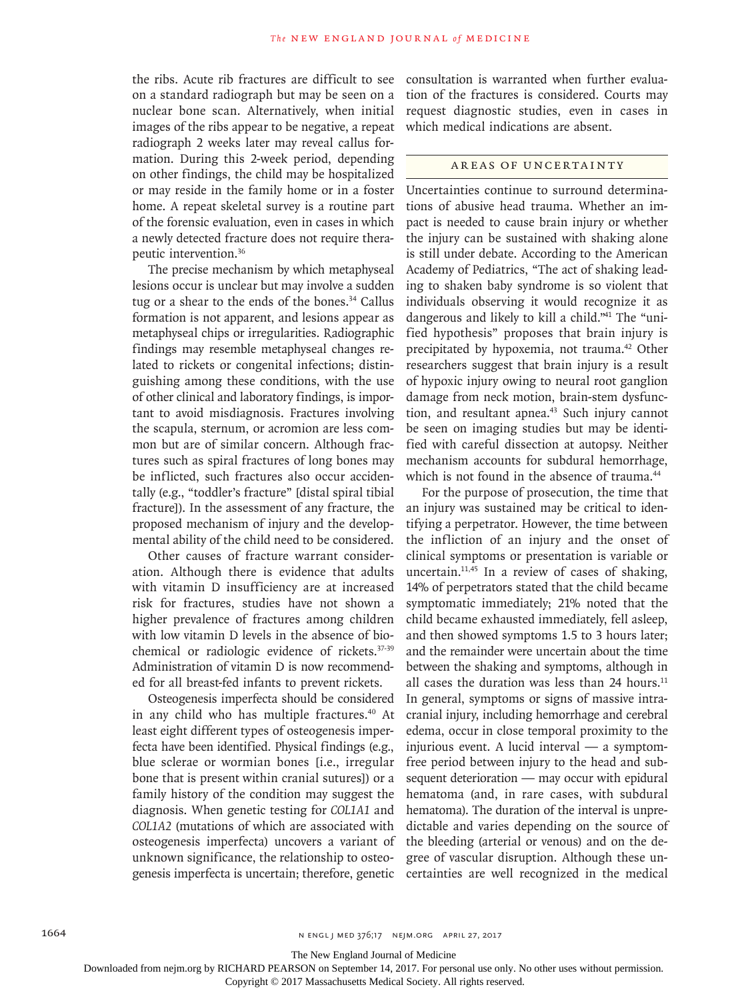the ribs. Acute rib fractures are difficult to see on a standard radiograph but may be seen on a nuclear bone scan. Alternatively, when initial images of the ribs appear to be negative, a repeat radiograph 2 weeks later may reveal callus formation. During this 2-week period, depending on other findings, the child may be hospitalized or may reside in the family home or in a foster home. A repeat skeletal survey is a routine part of the forensic evaluation, even in cases in which a newly detected fracture does not require therapeutic intervention.36

The precise mechanism by which metaphyseal lesions occur is unclear but may involve a sudden tug or a shear to the ends of the bones.<sup>34</sup> Callus formation is not apparent, and lesions appear as metaphyseal chips or irregularities. Radiographic findings may resemble metaphyseal changes related to rickets or congenital infections; distinguishing among these conditions, with the use of other clinical and laboratory findings, is important to avoid misdiagnosis. Fractures involving the scapula, sternum, or acromion are less common but are of similar concern. Although fractures such as spiral fractures of long bones may be inflicted, such fractures also occur accidentally (e.g., "toddler's fracture" [distal spiral tibial fracture]). In the assessment of any fracture, the proposed mechanism of injury and the developmental ability of the child need to be considered.

Other causes of fracture warrant consideration. Although there is evidence that adults with vitamin D insufficiency are at increased risk for fractures, studies have not shown a higher prevalence of fractures among children with low vitamin D levels in the absence of biochemical or radiologic evidence of rickets.37-39 Administration of vitamin D is now recommended for all breast-fed infants to prevent rickets.

Osteogenesis imperfecta should be considered in any child who has multiple fractures.<sup>40</sup> At least eight different types of osteogenesis imperfecta have been identified. Physical findings (e.g., blue sclerae or wormian bones [i.e., irregular bone that is present within cranial sutures]) or a family history of the condition may suggest the diagnosis. When genetic testing for *COL1A1* and *COL1A2* (mutations of which are associated with osteogenesis imperfecta) uncovers a variant of unknown significance, the relationship to osteogenesis imperfecta is uncertain; therefore, genetic

consultation is warranted when further evaluation of the fractures is considered. Courts may request diagnostic studies, even in cases in which medical indications are absent.

#### AREAS OF UNCERTAINTY

Uncertainties continue to surround determinations of abusive head trauma. Whether an impact is needed to cause brain injury or whether the injury can be sustained with shaking alone is still under debate. According to the American Academy of Pediatrics, "The act of shaking leading to shaken baby syndrome is so violent that individuals observing it would recognize it as dangerous and likely to kill a child."41 The "unified hypothesis" proposes that brain injury is precipitated by hypoxemia, not trauma.42 Other researchers suggest that brain injury is a result of hypoxic injury owing to neural root ganglion damage from neck motion, brain-stem dysfunction, and resultant apnea.<sup>43</sup> Such injury cannot be seen on imaging studies but may be identified with careful dissection at autopsy. Neither mechanism accounts for subdural hemorrhage, which is not found in the absence of trauma.<sup>44</sup>

For the purpose of prosecution, the time that an injury was sustained may be critical to identifying a perpetrator. However, the time between the infliction of an injury and the onset of clinical symptoms or presentation is variable or uncertain.11,45 In a review of cases of shaking, 14% of perpetrators stated that the child became symptomatic immediately; 21% noted that the child became exhausted immediately, fell asleep, and then showed symptoms 1.5 to 3 hours later; and the remainder were uncertain about the time between the shaking and symptoms, although in all cases the duration was less than 24 hours.<sup>11</sup> In general, symptoms or signs of massive intracranial injury, including hemorrhage and cerebral edema, occur in close temporal proximity to the injurious event. A lucid interval — a symptomfree period between injury to the head and subsequent deterioration — may occur with epidural hematoma (and, in rare cases, with subdural hematoma). The duration of the interval is unpredictable and varies depending on the source of the bleeding (arterial or venous) and on the degree of vascular disruption. Although these uncertainties are well recognized in the medical

The New England Journal of Medicine

Downloaded from nejm.org by RICHARD PEARSON on September 14, 2017. For personal use only. No other uses without permission.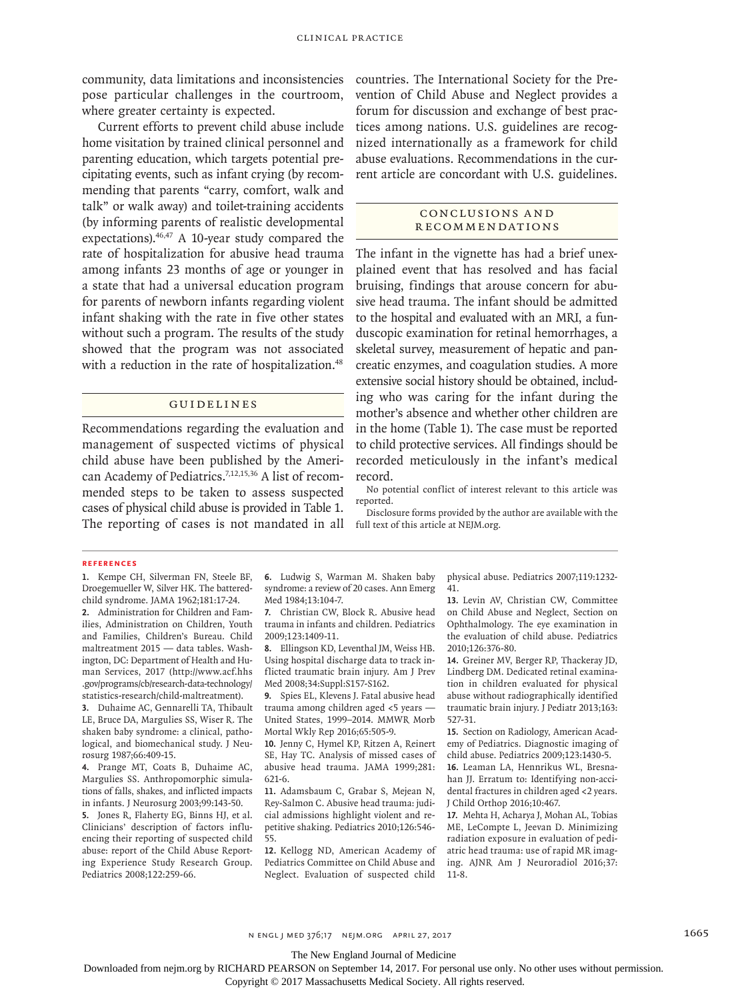community, data limitations and inconsistencies pose particular challenges in the courtroom, where greater certainty is expected.

Current efforts to prevent child abuse include home visitation by trained clinical personnel and parenting education, which targets potential precipitating events, such as infant crying (by recommending that parents "carry, comfort, walk and talk" or walk away) and toilet-training accidents (by informing parents of realistic developmental expectations).46,47 A 10-year study compared the rate of hospitalization for abusive head trauma among infants 23 months of age or younger in a state that had a universal education program for parents of newborn infants regarding violent infant shaking with the rate in five other states without such a program. The results of the study showed that the program was not associated with a reduction in the rate of hospitalization.<sup>48</sup>

#### Guidelines

Recommendations regarding the evaluation and management of suspected victims of physical child abuse have been published by the American Academy of Pediatrics.<sup>7,12,15,36</sup> A list of recommended steps to be taken to assess suspected cases of physical child abuse is provided in Table 1. The reporting of cases is not mandated in all full text of this article at NEJM.org.

countries. The International Society for the Prevention of Child Abuse and Neglect provides a forum for discussion and exchange of best practices among nations. U.S. guidelines are recognized internationally as a framework for child abuse evaluations. Recommendations in the current article are concordant with U.S. guidelines.

### Conclusions a nd **RECOMMENDATIONS**

The infant in the vignette has had a brief unexplained event that has resolved and has facial bruising, findings that arouse concern for abusive head trauma. The infant should be admitted to the hospital and evaluated with an MRI, a funduscopic examination for retinal hemorrhages, a skeletal survey, measurement of hepatic and pancreatic enzymes, and coagulation studies. A more extensive social history should be obtained, including who was caring for the infant during the mother's absence and whether other children are in the home (Table 1). The case must be reported to child protective services. All findings should be recorded meticulously in the infant's medical record.

No potential conflict of interest relevant to this article was reported.

Disclosure forms provided by the author are available with the

#### **References**

**1.** Kempe CH, Silverman FN, Steele BF, Droegemueller W, Silver HK. The batteredchild syndrome. JAMA 1962;181:17-24.

**2.** Administration for Children and Families, Administration on Children, Youth and Families, Children's Bureau. Child maltreatment 2015 — data tables. Washington, DC: Department of Health and Human Services, 2017 (http://www.acf.hhs .gov/programs/cb/research-data-technology/ statistics-research/child-maltreatment).

**3.** Duhaime AC, Gennarelli TA, Thibault LE, Bruce DA, Margulies SS, Wiser R. The shaken baby syndrome: a clinical, pathological, and biomechanical study. J Neurosurg 1987;66:409-15.

**4.** Prange MT, Coats B, Duhaime AC, Margulies SS. Anthropomorphic simulations of falls, shakes, and inflicted impacts in infants. J Neurosurg 2003;99:143-50. **5.** Jones R, Flaherty EG, Binns HJ, et al.

Clinicians' description of factors influencing their reporting of suspected child abuse: report of the Child Abuse Reporting Experience Study Research Group. Pediatrics 2008;122:259-66.

**6.** Ludwig S, Warman M. Shaken baby syndrome: a review of 20 cases. Ann Emerg Med 1984;13:104-7.

**7.** Christian CW, Block R. Abusive head trauma in infants and children. Pediatrics 2009;123:1409-11.

**8.** Ellingson KD, Leventhal JM, Weiss HB. Using hospital discharge data to track inflicted traumatic brain injury. Am J Prev Med 2008;34:Suppl:S157-S162.

**9.** Spies EL, Klevens J. Fatal abusive head trauma among children aged <5 years — United States, 1999–2014. MMWR Morb Mortal Wkly Rep 2016;65:505-9.

**10.** Jenny C, Hymel KP, Ritzen A, Reinert SE, Hay TC. Analysis of missed cases of abusive head trauma. JAMA 1999;281: 621-6.

**11.** Adamsbaum C, Grabar S, Mejean N, Rey-Salmon C. Abusive head trauma: judicial admissions highlight violent and repetitive shaking. Pediatrics 2010;126:546- 55.

**12.** Kellogg ND, American Academy of Pediatrics Committee on Child Abuse and Neglect. Evaluation of suspected child

physical abuse. Pediatrics 2007;119:1232- 41.

**13.** Levin AV, Christian CW, Committee on Child Abuse and Neglect, Section on Ophthalmology. The eye examination in the evaluation of child abuse. Pediatrics 2010;126:376-80.

**14.** Greiner MV, Berger RP, Thackeray JD, Lindberg DM. Dedicated retinal examination in children evaluated for physical abuse without radiographically identified traumatic brain injury. J Pediatr 2013;163: 527-31.

**15.** Section on Radiology, American Academy of Pediatrics. Diagnostic imaging of child abuse. Pediatrics 2009;123:1430-5.

**16.** Leaman LA, Hennrikus WL, Bresnahan JJ. Erratum to: Identifying non-accidental fractures in children aged <2 years. J Child Orthop 2016;10:467.

**17.** Mehta H, Acharya J, Mohan AL, Tobias ME, LeCompte L, Jeevan D. Minimizing radiation exposure in evaluation of pediatric head trauma: use of rapid MR imaging. AJNR Am J Neuroradiol 2016;37: 11-8.

n engl j med 376;17 nejm.org April 27, 2017 1665

The New England Journal of Medicine

Downloaded from nejm.org by RICHARD PEARSON on September 14, 2017. For personal use only. No other uses without permission.